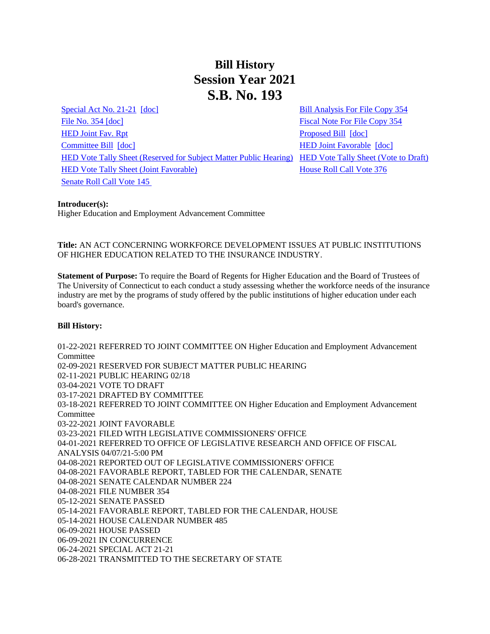# **Bill History Session Year 2021 S.B. No. 193**

[Special Act No. 21-21](/2021/ACT/SA/PDF/2021SA-00021-R00SB-00193-SA.PDF) [\[doc\]](https://search.cga.state.ct.us/dl2021/SA/DOC/2021SA-00021-R00SB-00193-SA.DOCX) Green [Bill Analysis For File Copy 354](/2021/BA/PDF/2021SB-00193-R000354-BA.PDF) [File No. 354](/2021/FC/PDF/2021SB-00193-R000354-FC.PDF) [\[doc\]](/2021/FC/PDF/2021SB-00193-R000354-FC.PDF) [Fiscal Note For File Copy 354](/2021/FN/PDF/2021SB-00193-R000354-FN.PDF) [HED Joint Fav. Rpt](/2021/JFR/S/PDF/2021SB-00193-R00HED-JFR.PDF) **Proposed Bill** [\[doc\]](https://search.cga.state.ct.us/dl2021/TOB/DOC/2021SB-00193-R00-SB.DOCX) [Committee Bill](/2021/TOB/S/PDF/2021SB-00193-R01-SB.PDF) [\[doc\]](https://search.cga.state.ct.us/dl2021/TOB/DOC/2021SB-00193-R02-SB.DOCX) **[HED Joint Favorable](/2021/TOB/S/PDF/2021SB-00193-R02-SB.PDF) [doc]** [HED Vote Tally Sheet \(Reserved for Subject Matter Public Hearing\)](/2021/TS/S/PDF/2021SB-00193-R00HED-CV17-TS.PDF) [HED Vote Tally Sheet \(Vote to Draft\)](/2021/TS/S/PDF/2021SB-00193-R00HED-CV37-TS.PDF) [HED Vote Tally Sheet \(Joint Favorable\)](/2021/TS/S/PDF/2021SB-00193-R00HED-CV66-TS.PDF) [House Roll Call Vote 376](/2021/VOTE/H/PDF/2021HV-00376-R00SB00193-HV.PDF)  [Senate Roll Call Vote 145](/2021/VOTE/S/PDF/2021SV-00145-R00SB00193-SV.PDF) 

#### **Introducer(s):**

Higher Education and Employment Advancement Committee

## **Title:** AN ACT CONCERNING WORKFORCE DEVELOPMENT ISSUES AT PUBLIC INSTITUTIONS OF HIGHER EDUCATION RELATED TO THE INSURANCE INDUSTRY.

**Statement of Purpose:** To require the Board of Regents for Higher Education and the Board of Trustees of The University of Connecticut to each conduct a study assessing whether the workforce needs of the insurance industry are met by the programs of study offered by the public institutions of higher education under each board's governance.

#### **Bill History:**

01-22-2021 REFERRED TO JOINT COMMITTEE ON Higher Education and Employment Advancement Committee 02-09-2021 RESERVED FOR SUBJECT MATTER PUBLIC HEARING 02-11-2021 PUBLIC HEARING 02/18 03-04-2021 VOTE TO DRAFT 03-17-2021 DRAFTED BY COMMITTEE 03-18-2021 REFERRED TO JOINT COMMITTEE ON Higher Education and Employment Advancement Committee 03-22-2021 JOINT FAVORABLE 03-23-2021 FILED WITH LEGISLATIVE COMMISSIONERS' OFFICE 04-01-2021 REFERRED TO OFFICE OF LEGISLATIVE RESEARCH AND OFFICE OF FISCAL ANALYSIS 04/07/21-5:00 PM 04-08-2021 REPORTED OUT OF LEGISLATIVE COMMISSIONERS' OFFICE 04-08-2021 FAVORABLE REPORT, TABLED FOR THE CALENDAR, SENATE 04-08-2021 SENATE CALENDAR NUMBER 224 04-08-2021 FILE NUMBER 354 05-12-2021 SENATE PASSED 05-14-2021 FAVORABLE REPORT, TABLED FOR THE CALENDAR, HOUSE 05-14-2021 HOUSE CALENDAR NUMBER 485 06-09-2021 HOUSE PASSED 06-09-2021 IN CONCURRENCE 06-24-2021 SPECIAL ACT 21-21 06-28-2021 TRANSMITTED TO THE SECRETARY OF STATE